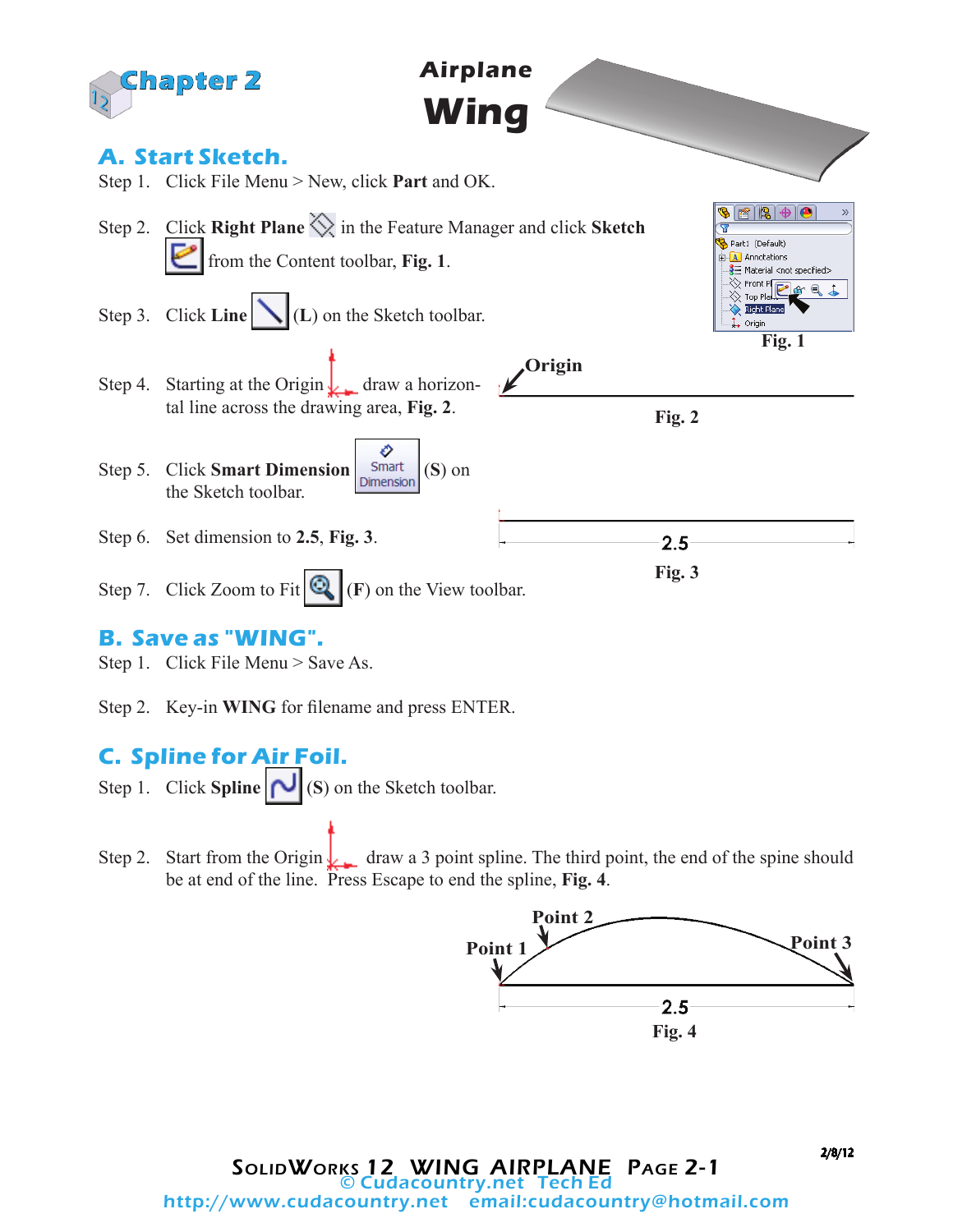

Step 2. Key-in **WING** for filename and press ENTER.

## **C. Spline for Air Foil.**

- Step 1. Click **Spline**  $\left| \bigcup_{i=1}^n S_i \right|$  (**S**) on the Sketch toolbar.
- Step 2. Start from the Origin  $\log$  draw a 3 point spline. The third point, the end of the spine should be at end of the line. Press Escape to end the spline, **Fig. 4**.

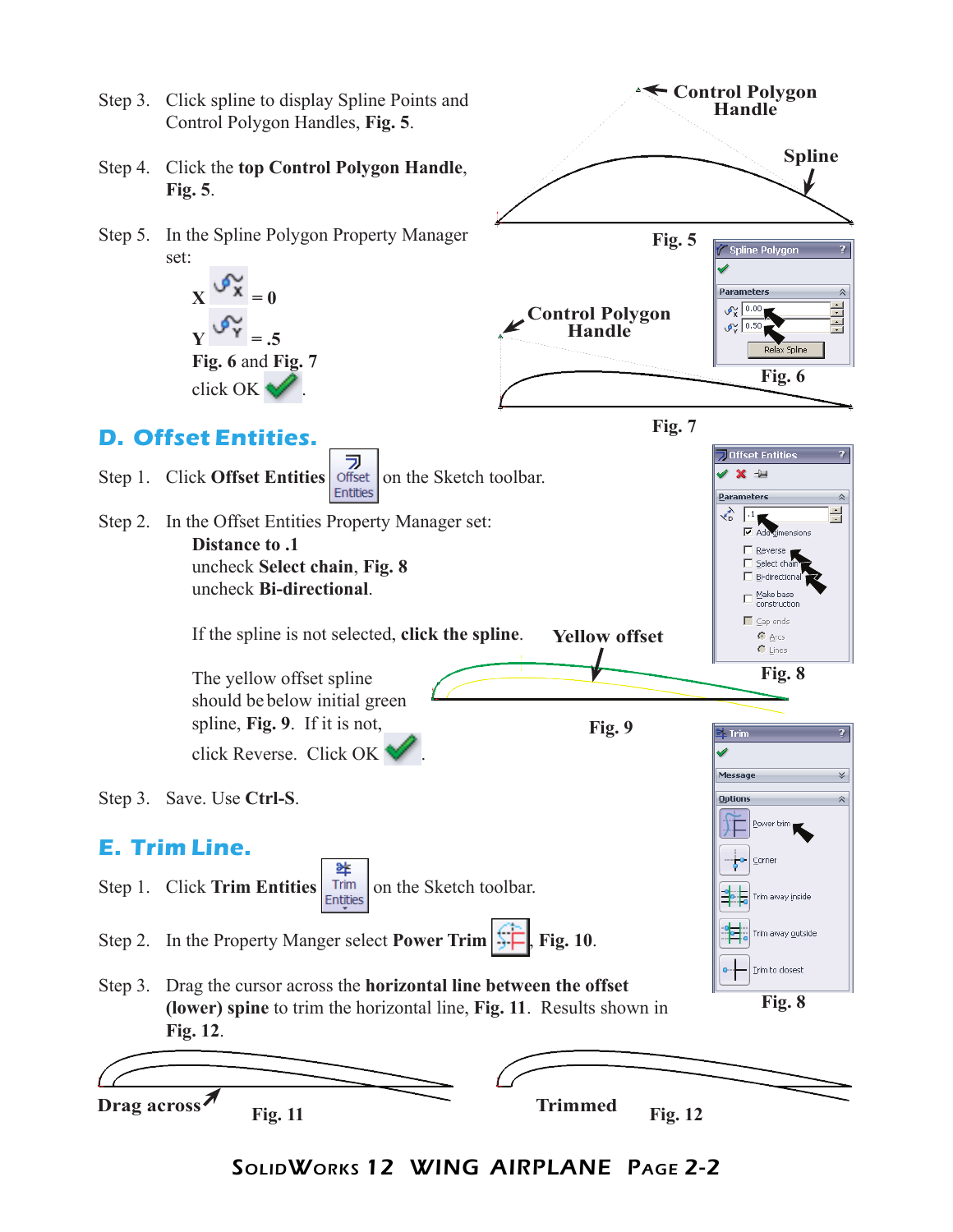

SolidWorks 12 WING AIRPLANE Page 2-2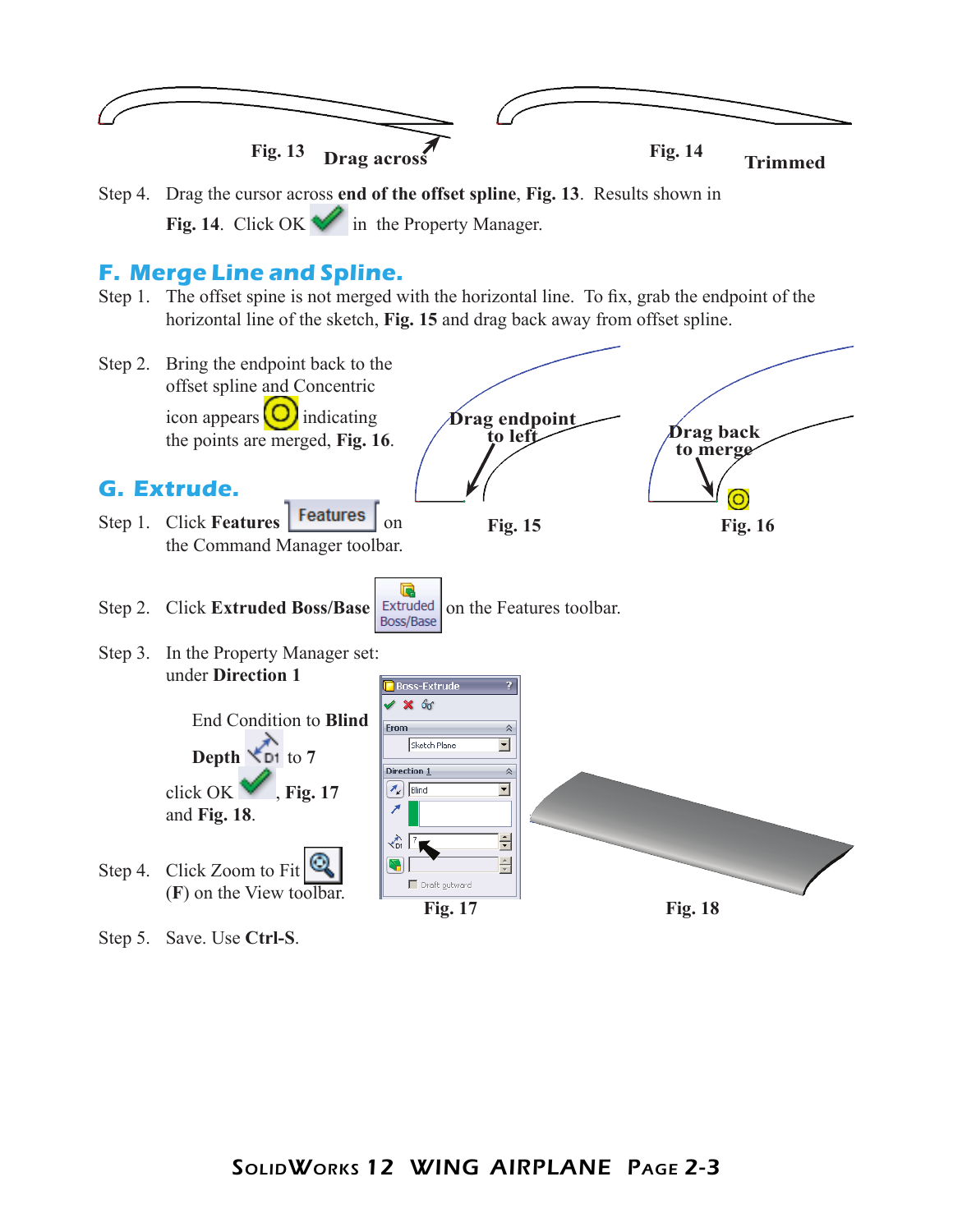

Step 4. Drag the cursor across **end of the offset spline**, **Fig. 13**. Results shown in **Fig. 14.** Click OK  $\blacktriangledown$  in the Property Manager.

## **F. Merge Line and Spline.**

Step 1. The offset spine is not merged with the horizontal line. To fix, grab the endpoint of the horizontal line of the sketch, **Fig. 15** and drag back away from offset spline.